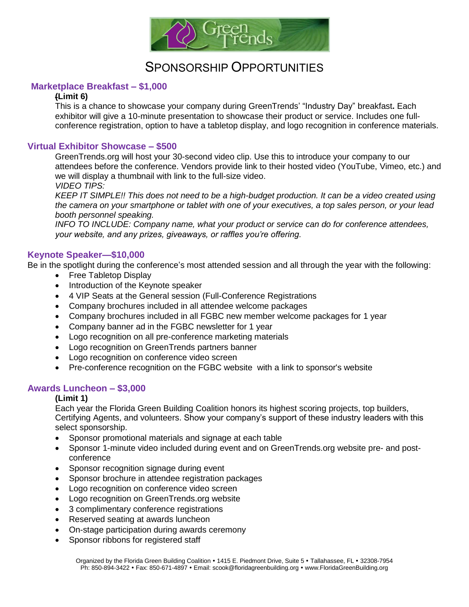

# SPONSORSHIP OPPORTUNITIES

### **Marketplace Breakfast – \$1,000**

### **(Limit 6)**

This is a chance to showcase your company during GreenTrends' "Industry Day" breakfast**.** Each exhibitor will give a 10-minute presentation to showcase their product or service. Includes one fullconference registration, option to have a tabletop display, and logo recognition in conference materials.

### **Virtual Exhibitor Showcase – \$500**

GreenTrends.org will host your 30-second video clip. Use this to introduce your company to our attendees before the conference. Vendors provide link to their hosted video (YouTube, Vimeo, etc.) and we will display a thumbnail with link to the full-size video.

*VIDEO TIPS:*

*KEEP IT SIMPLE!! This does not need to be a high-budget production. It can be a video created using the camera on your smartphone or tablet with one of your executives, a top sales person, or your lead booth personnel speaking.*

*INFO TO INCLUDE: Company name, what your product or service can do for conference attendees, your website, and any prizes, giveaways, or raffles you're offering.*

### **Keynote Speaker—\$10,000**

Be in the spotlight during the conference's most attended session and all through the year with the following:

- Free Tabletop Display
- Introduction of the Keynote speaker
- 4 VIP Seats at the General session (Full-Conference Registrations
- Company brochures included in all attendee welcome packages
- Company brochures included in all FGBC new member welcome packages for 1 year
- Company banner ad in the FGBC newsletter for 1 year
- Logo recognition on all pre-conference marketing materials
- Logo recognition on GreenTrends partners banner
- Logo recognition on conference video screen
- Pre-conference recognition on the FGBC website with a link to sponsor's website

### **Awards Luncheon – \$3,000**

#### **(Limit 1)**

Each year the Florida Green Building Coalition honors its highest scoring projects, top builders, Certifying Agents, and volunteers. Show your company's support of these industry leaders with this select sponsorship.

- Sponsor promotional materials and signage at each table
- Sponsor 1-minute video included during event and on GreenTrends.org website pre- and postconference
- Sponsor recognition signage during event
- Sponsor brochure in attendee registration packages
- Logo recognition on conference video screen
- Logo recognition on GreenTrends.org website
- 3 complimentary conference registrations
- Reserved seating at awards luncheon
- On-stage participation during awards ceremony
- Sponsor ribbons for registered staff